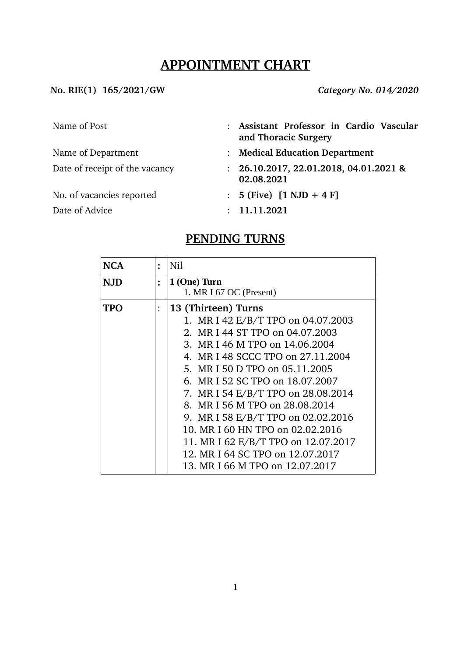# **APPOINTMENT CHART**

#### **No. RIE(1) 165/2021/GW** *Category No. 014/2020*

| Name of Post                   | : Assistant Professor in Cardio Vascular<br>and Thoracic Surgery |
|--------------------------------|------------------------------------------------------------------|
| Name of Department             | : Medical Education Department                                   |
| Date of receipt of the vacancy | $: 26.10.2017, 22.01.2018, 04.01.2021$ &<br>02.08.2021           |
| No. of vacancies reported      | : 5 (Five) $[1 \text{ NJD} + 4 \text{ F}]$                       |
| Date of Advice                 | : 11.11.2021                                                     |

# **PENDING TURNS**

| <b>NCA</b> | Nil                                                                                                                                                                                                                                                                                                                                                                                                                                                                                                      |
|------------|----------------------------------------------------------------------------------------------------------------------------------------------------------------------------------------------------------------------------------------------------------------------------------------------------------------------------------------------------------------------------------------------------------------------------------------------------------------------------------------------------------|
| <b>NJD</b> | 1 (One) Turn<br>1. MR I 67 OC (Present)                                                                                                                                                                                                                                                                                                                                                                                                                                                                  |
| <b>TPO</b> | 13 (Thirteen) Turns<br>1. MR I 42 E/B/T TPO on 04.07.2003<br>2. MR I 44 ST TPO on 04.07.2003<br>3. MR I 46 M TPO on 14.06.2004<br>4. MR I 48 SCCC TPO on 27.11.2004<br>5. MR I 50 D TPO on 05.11.2005<br>6. MR I 52 SC TPO on 18.07.2007<br>7. MR I 54 E/B/T TPO on 28.08.2014<br>8. MR I 56 M TPO on 28,08,2014<br>9. MR I 58 E/B/T TPO on 02.02.2016<br>10. MR I 60 HN TPO on 02.02.2016<br>11. MR I 62 E/B/T TPO on 12.07.2017<br>12. MR I 64 SC TPO on 12.07.2017<br>13. MR I 66 M TPO on 12.07.2017 |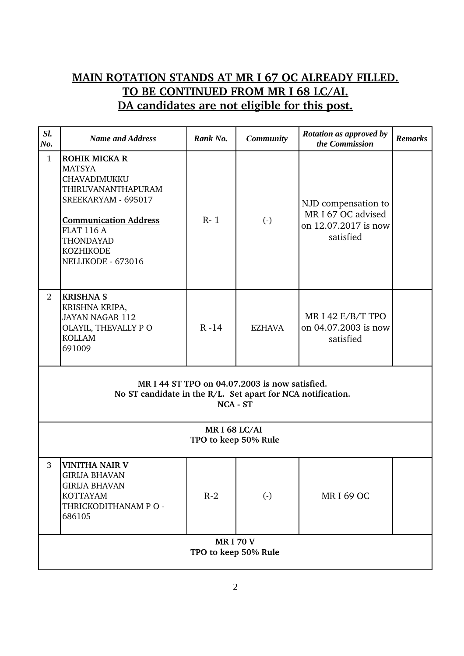## **MAIN ROTATION STANDS AT MR I 67 OC ALREADY FILLED. TO BE CONTINUED FROM MR I 68 LC/AI. DA candidates are not eligible for this post.**

| SI.<br>No.                                                                                                                       | <b>Name and Address</b>                                                                                                                                                                                               | Rank No. | <b>Community</b>       | Rotation as approved by<br>the Commission                                      | <b>Remarks</b> |  |  |
|----------------------------------------------------------------------------------------------------------------------------------|-----------------------------------------------------------------------------------------------------------------------------------------------------------------------------------------------------------------------|----------|------------------------|--------------------------------------------------------------------------------|----------------|--|--|
| $\mathbf{1}$                                                                                                                     | <b>ROHIK MICKA R</b><br><b>MATSYA</b><br>CHAVADIMUKKU<br>THIRUVANANTHAPURAM<br>SREEKARYAM - 695017<br><b>Communication Address</b><br><b>FLAT 116 A</b><br><b>THONDAYAD</b><br><b>KOZHIKODE</b><br>NELLIKODE - 673016 | $R - 1$  | $\left( -\right)$      | NJD compensation to<br>MR I 67 OC advised<br>on 12.07.2017 is now<br>satisfied |                |  |  |
| $\overline{2}$                                                                                                                   | <b>KRISHNA S</b><br>KRISHNA KRIPA,<br><b>JAYAN NAGAR 112</b><br>OLAYIL, THEVALLY PO<br><b>KOLLAM</b><br>691009                                                                                                        | $R - 14$ | <b>EZHAVA</b>          | MR I 42 $E/B/T$ TPO<br>on 04.07.2003 is now<br>satisfied                       |                |  |  |
| MR I 44 ST TPO on 04.07.2003 is now satisfied.<br>No ST candidate in the R/L. Set apart for NCA notification.<br><b>NCA - ST</b> |                                                                                                                                                                                                                       |          |                        |                                                                                |                |  |  |
| <b>MRI 68 LC/AI</b><br>TPO to keep 50% Rule                                                                                      |                                                                                                                                                                                                                       |          |                        |                                                                                |                |  |  |
| 3                                                                                                                                | <b>VINITHA NAIR V</b><br><b>GIRIJA BHAVAN</b><br><b>GIRIJA BHAVAN</b><br><b>KOTTAYAM</b><br>THRICKODITHANAM PO -<br>686105                                                                                            | $R-2$    | $\left( \cdot \right)$ | <b>MR I 69 OC</b>                                                              |                |  |  |
| <b>MRI 70 V</b><br>TPO to keep 50% Rule                                                                                          |                                                                                                                                                                                                                       |          |                        |                                                                                |                |  |  |